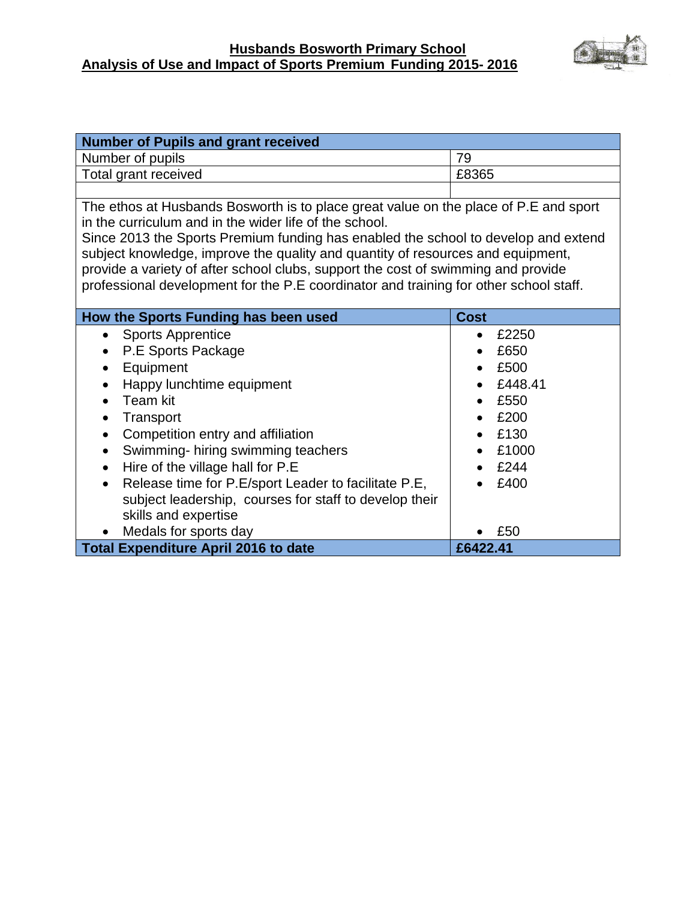#### **Husbands Bosworth Primary School Analysis of Use and Impact of Sports Premium Funding 2015- 2016**



| <b>Number of Pupils and grant received</b>                                            |                    |  |
|---------------------------------------------------------------------------------------|--------------------|--|
| Number of pupils                                                                      | 79                 |  |
| Total grant received                                                                  | £8365              |  |
|                                                                                       |                    |  |
| The ethos at Husbands Bosworth is to place great value on the place of P.E and sport  |                    |  |
| in the curriculum and in the wider life of the school.                                |                    |  |
| Since 2013 the Sports Premium funding has enabled the school to develop and extend    |                    |  |
| subject knowledge, improve the quality and quantity of resources and equipment,       |                    |  |
| provide a variety of after school clubs, support the cost of swimming and provide     |                    |  |
| professional development for the P.E coordinator and training for other school staff. |                    |  |
|                                                                                       |                    |  |
| How the Sports Funding has been used                                                  | <b>Cost</b>        |  |
| <b>Sports Apprentice</b><br>$\bullet$                                                 | £2250<br>$\bullet$ |  |
| P.E Sports Package<br>$\bullet$                                                       | £650<br>$\bullet$  |  |
| Equipment<br>$\bullet$                                                                | £500<br>$\bullet$  |  |
| Happy lunchtime equipment<br>$\bullet$                                                | £448.41            |  |
| Team kit                                                                              | £550               |  |
| Transport<br>$\bullet$                                                                | £200               |  |
| Competition entry and affiliation<br>$\bullet$                                        | £130               |  |
| Swimming-hiring swimming teachers<br>$\bullet$                                        | £1000              |  |
| Hire of the village hall for P.E<br>$\bullet$                                         | £244               |  |
| Release time for P.E/sport Leader to facilitate P.E,<br>$\bullet$                     | £400               |  |
| subject leadership, courses for staff to develop their                                |                    |  |
| skills and expertise                                                                  |                    |  |
| Medals for sports day                                                                 | £50                |  |
| <b>Total Expenditure April 2016 to date</b>                                           | £6422.41           |  |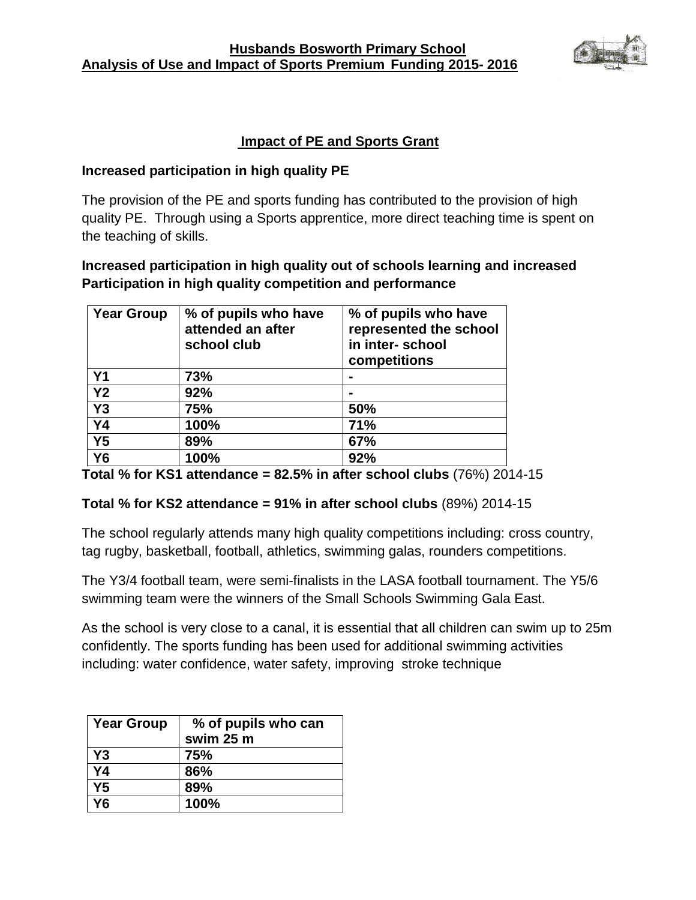

### **Impact of PE and Sports Grant**

#### **Increased participation in high quality PE**

The provision of the PE and sports funding has contributed to the provision of high quality PE. Through using a Sports apprentice, more direct teaching time is spent on the teaching of skills.

## **Increased participation in high quality out of schools learning and increased Participation in high quality competition and performance**

| <b>Year Group</b> | % of pupils who have<br>attended an after<br>school club | % of pupils who have<br>represented the school<br>in inter-school<br>competitions |
|-------------------|----------------------------------------------------------|-----------------------------------------------------------------------------------|
| <b>Y1</b>         | 73%                                                      |                                                                                   |
| Y <sub>2</sub>    | 92%                                                      |                                                                                   |
| Y3                | 75%                                                      | 50%                                                                               |
| <b>Y4</b>         | 100%                                                     | 71%                                                                               |
| Y <sub>5</sub>    | 89%                                                      | 67%                                                                               |
| <b>Y6</b>         | 100%                                                     | 92%                                                                               |

**Total % for KS1 attendance = 82.5% in after school clubs** (76%) 2014-15

### **Total % for KS2 attendance = 91% in after school clubs** (89%) 2014-15

The school regularly attends many high quality competitions including: cross country, tag rugby, basketball, football, athletics, swimming galas, rounders competitions.

The Y3/4 football team, were semi-finalists in the LASA football tournament. The Y5/6 swimming team were the winners of the Small Schools Swimming Gala East.

As the school is very close to a canal, it is essential that all children can swim up to 25m confidently. The sports funding has been used for additional swimming activities including: water confidence, water safety, improving stroke technique

| <b>Year Group</b> | % of pupils who can<br>swim 25 m |
|-------------------|----------------------------------|
| Y <sub>3</sub>    | 75%                              |
| Y4                | 86%                              |
| Y <sub>5</sub>    | 89%                              |
| 76                | 100%                             |